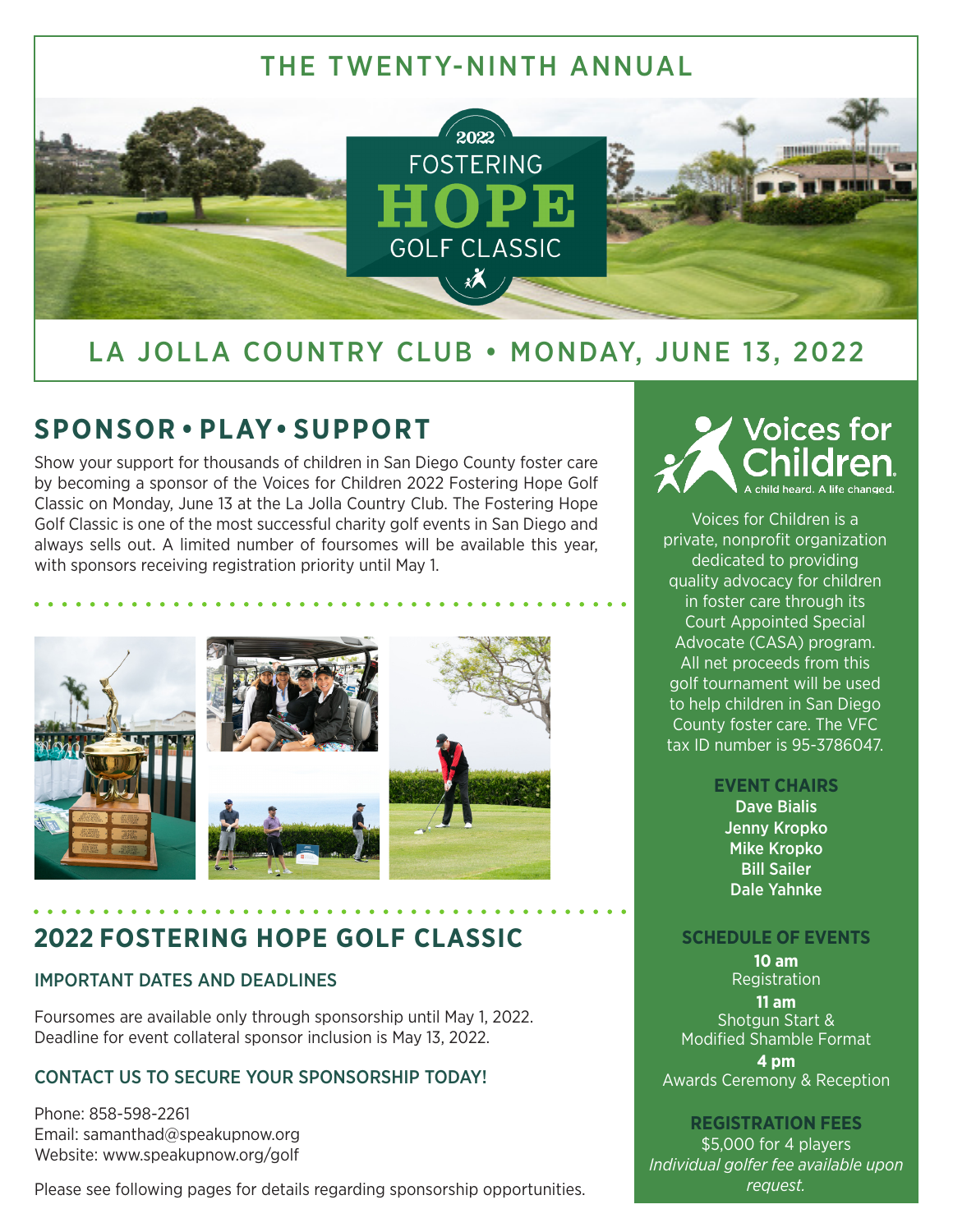

## LA JOLLA COUNTRY CLUB • MONDAY, JUNE 13, 2022

## **SPONSOR • PLAY• SUPPORT**

Show your support for thousands of children in San Diego County foster care by becoming a sponsor of the Voices for Children 2022 Fostering Hope Golf Classic on Monday, June 13 at the La Jolla Country Club. The Fostering Hope Golf Classic is one of the most successful charity golf events in San Diego and always sells out. A limited number of foursomes will be available this year, with sponsors receiving registration priority until May 1.



### **2022 FOSTERING HOPE GOLF CLASSIC**

#### IMPORTANT DATES AND DEADLINES

Foursomes are available only through sponsorship until May 1, 2022. Deadline for event collateral sponsor inclusion is May 13, 2022.

#### CONTACT US TO SECURE YOUR SPONSORSHIP TODAY!

Phone: 858-598-2261 Email: samanthad@speakupnow.org Website: www.speakupnow.org/golf

Please see following pages for details regarding sponsorship opportunities.



Voices for Children is a private, nonprofit organization dedicated to providing quality advocacy for children in foster care through its Court Appointed Special Advocate (CASA) program. All net proceeds from this golf tournament will be used to help children in San Diego County foster care. The VFC tax ID number is 95-3786047.

#### **EVENT CHAIRS**

Dave Bialis Jenny Kropko Mike Kropko Bill Sailer Dale Yahnke

#### **SCHEDULE OF EVENTS**

**10 am** Registration **11 am** Shotgun Start & Modified Shamble Format **4 pm** Awards Ceremony & Reception

#### **REGISTRATION FEES**

\$5,000 for 4 players *Individual golfer fee available upon request.*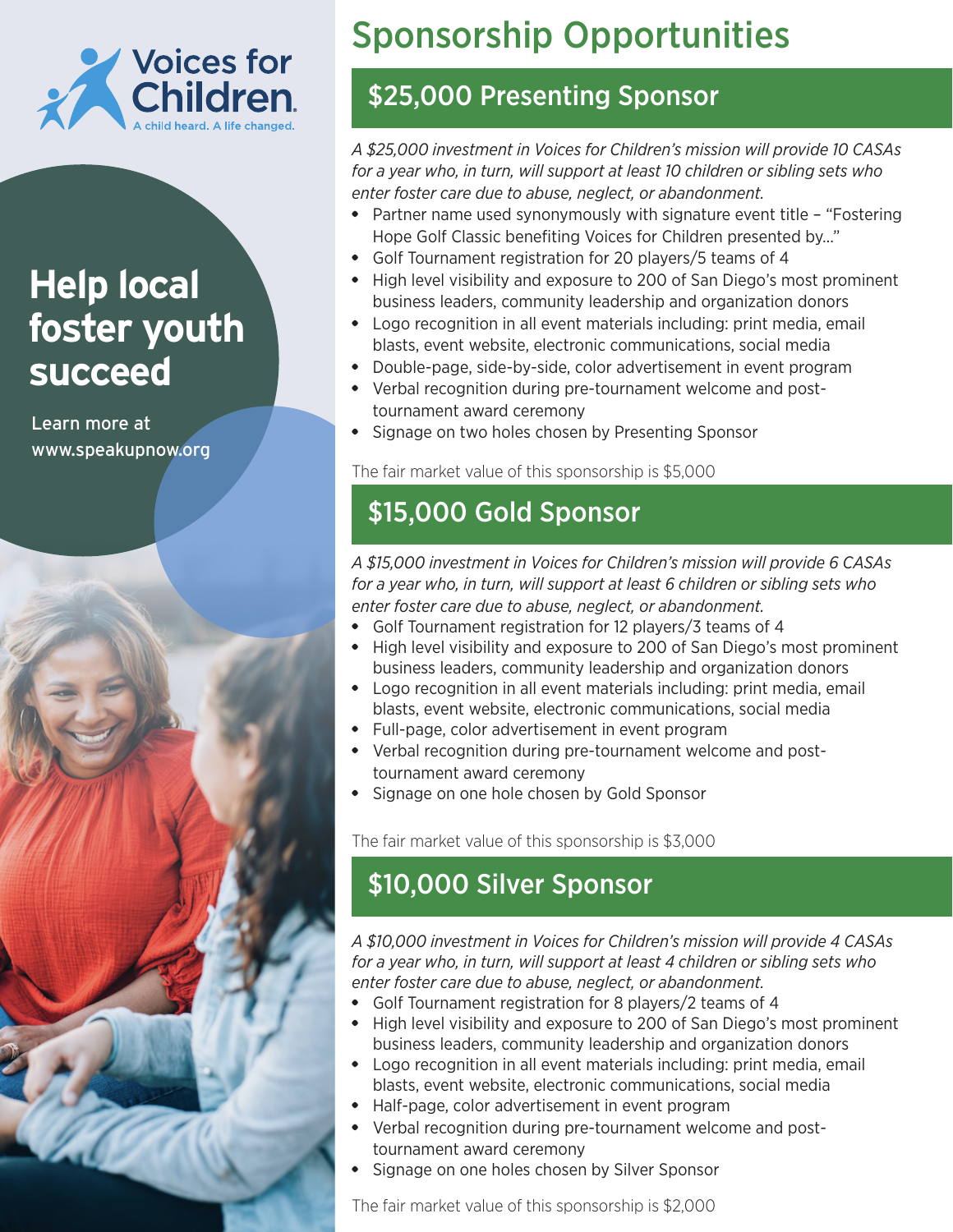

# **Help local foster youth succeed**

Learn more at www.speakupnow.org



# Sponsorship Opportunities

## \$25,000 Presenting Sponsor

*A \$25,000 investment in Voices for Children's mission will provide 10 CASAs for a year who, in turn, will support at least 10 children or sibling sets who enter foster care due to abuse, neglect, or abandonment.*

- Partner name used synonymously with signature event title "Fostering Hope Golf Classic benefiting Voices for Children presented by…"
- Golf Tournament registration for 20 players/5 teams of 4
- High level visibility and exposure to 200 of San Diego's most prominent business leaders, community leadership and organization donors
- Logo recognition in all event materials including: print media, email blasts, event website, electronic communications, social media
- Double-page, side-by-side, color advertisement in event program
- Verbal recognition during pre-tournament welcome and posttournament award ceremony
- Signage on two holes chosen by Presenting Sponsor

The fair market value of this sponsorship is \$5,000

## \$15,000 Gold Sponsor

*A \$15,000 investment in Voices for Children's mission will provide 6 CASAs for a year who, in turn, will support at least 6 children or sibling sets who enter foster care due to abuse, neglect, or abandonment.*

- Golf Tournament registration for 12 players/3 teams of 4
- High level visibility and exposure to 200 of San Diego's most prominent business leaders, community leadership and organization donors
- Logo recognition in all event materials including: print media, email blasts, event website, electronic communications, social media
- Full-page, color advertisement in event program
- Verbal recognition during pre-tournament welcome and posttournament award ceremony
- Signage on one hole chosen by Gold Sponsor

The fair market value of this sponsorship is \$3,000

## \$10,000 Silver Sponsor

*A \$10,000 investment in Voices for Children's mission will provide 4 CASAs for a year who, in turn, will support at least 4 children or sibling sets who enter foster care due to abuse, neglect, or abandonment.*

- Golf Tournament registration for 8 players/2 teams of 4
- High level visibility and exposure to 200 of San Diego's most prominent business leaders, community leadership and organization donors
- Logo recognition in all event materials including: print media, email blasts, event website, electronic communications, social media
- Half-page, color advertisement in event program
- Verbal recognition during pre-tournament welcome and posttournament award ceremony
- Signage on one holes chosen by Silver Sponsor

The fair market value of this sponsorship is \$2,000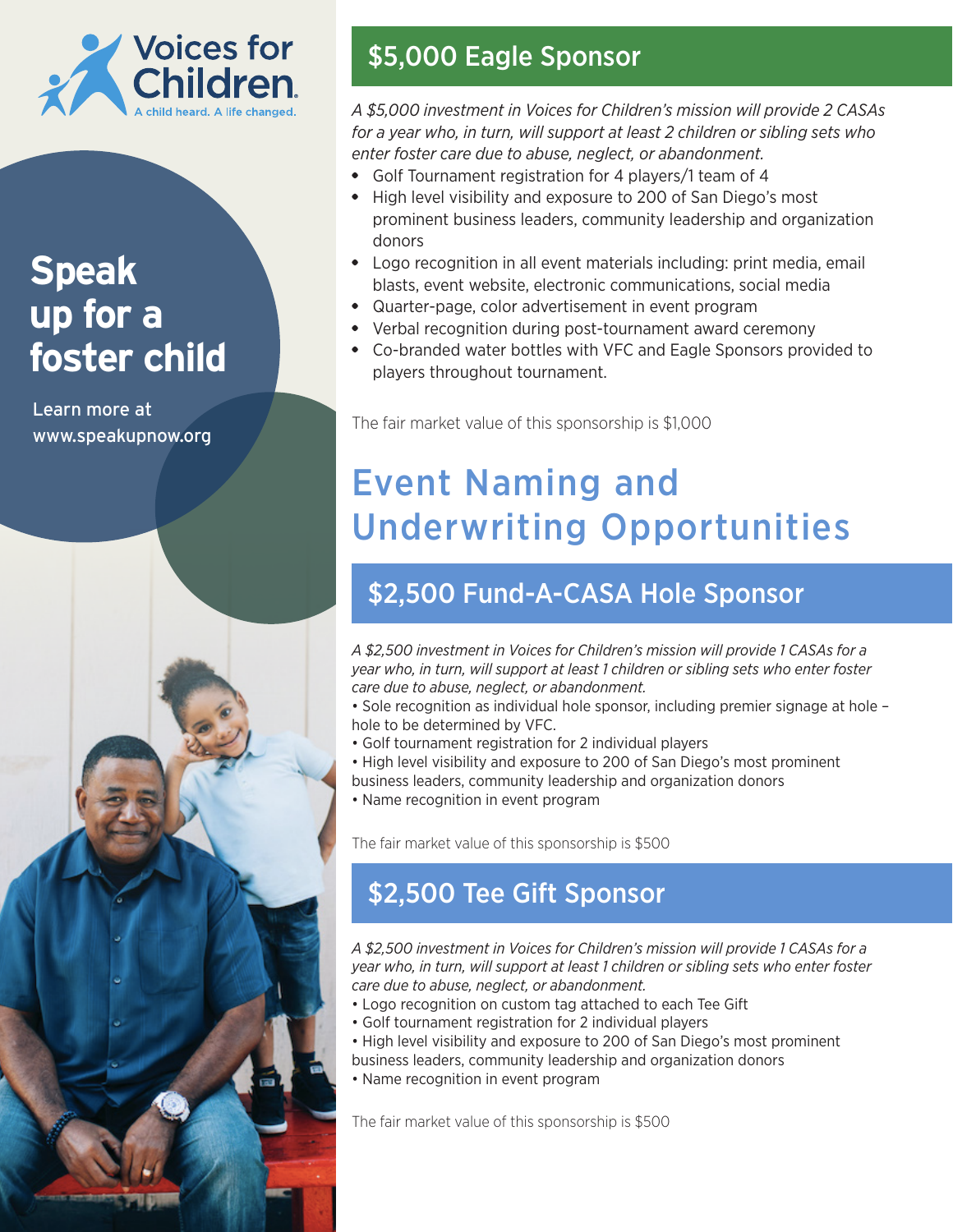

# **Speak up for a foster child**

Learn more at www.speakupnow.org



## \$5,000 Eagle Sponsor

*A \$5,000 investment in Voices for Children's mission will provide 2 CASAs for a year who, in turn, will support at least 2 children or sibling sets who enter foster care due to abuse, neglect, or abandonment.*

- Golf Tournament registration for 4 players/1 team of 4
- High level visibility and exposure to 200 of San Diego's most prominent business leaders, community leadership and organization donors
- Logo recognition in all event materials including: print media, email blasts, event website, electronic communications, social media
- Quarter-page, color advertisement in event program
- Verbal recognition during post-tournament award ceremony
- Co-branded water bottles with VFC and Eagle Sponsors provided to players throughout tournament.

The fair market value of this sponsorship is \$1,000

# Event Naming and Underwriting Opportunities

### \$2,500 Fund-A-CASA Hole Sponsor

*A \$2,500 investment in Voices for Children's mission will provide 1 CASAs for a year who, in turn, will support at least 1 children or sibling sets who enter foster care due to abuse, neglect, or abandonment.*

• Sole recognition as individual hole sponsor, including premier signage at hole – hole to be determined by VFC.

- Golf tournament registration for 2 individual players
- High level visibility and exposure to 200 of San Diego's most prominent business leaders, community leadership and organization donors
- Name recognition in event program

The fair market value of this sponsorship is \$500

### \$2,500 Tee Gift Sponsor

*A \$2,500 investment in Voices for Children's mission will provide 1 CASAs for a year who, in turn, will support at least 1 children or sibling sets who enter foster care due to abuse, neglect, or abandonment.*

- Logo recognition on custom tag attached to each Tee Gift
- Golf tournament registration for 2 individual players
- High level visibility and exposure to 200 of San Diego's most prominent
- business leaders, community leadership and organization donors
- Name recognition in event program

The fair market value of this sponsorship is \$500